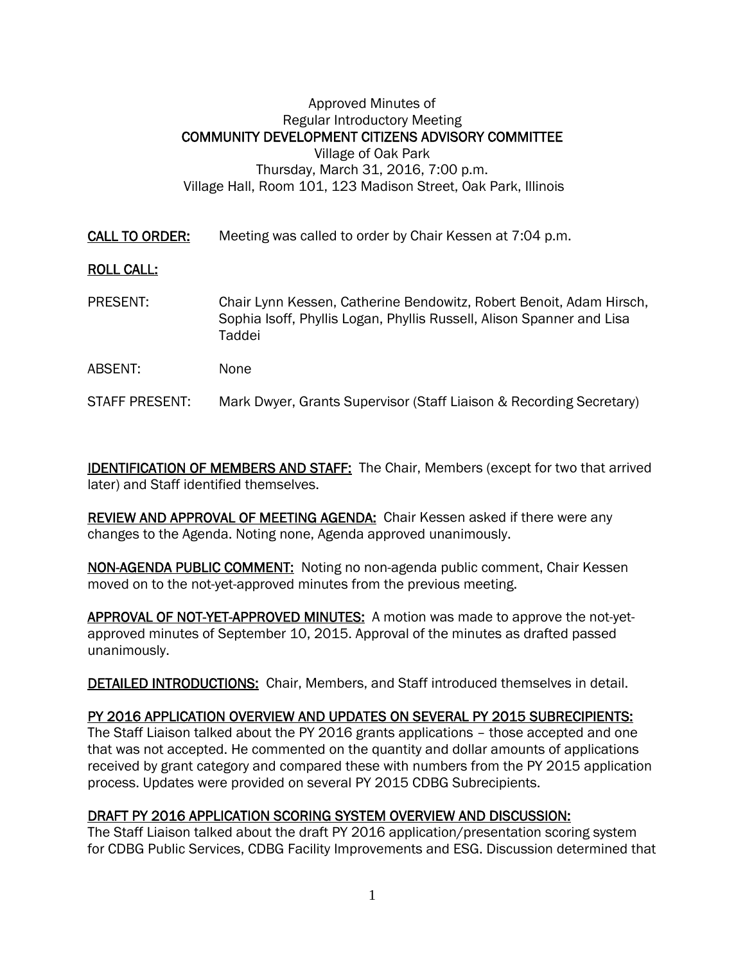## Approved Minutes of Regular Introductory Meeting COMMUNITY DEVELOPMENT CITIZENS ADVISORY COMMITTEE Village of Oak Park Thursday, March 31, 2016, 7:00 p.m. Village Hall, Room 101, 123 Madison Street, Oak Park, Illinois

CALL TO ORDER: Meeting was called to order by Chair Kessen at 7:04 p.m.

## ROLL CALL:

- PRESENT: Chair Lynn Kessen, Catherine Bendowitz, Robert Benoit, Adam Hirsch, Sophia Isoff, Phyllis Logan, Phyllis Russell, Alison Spanner and Lisa Taddei
- ABSENT: None
- STAFF PRESENT: Mark Dwyer, Grants Supervisor (Staff Liaison & Recording Secretary)

**IDENTIFICATION OF MEMBERS AND STAFF:** The Chair, Members (except for two that arrived later) and Staff identified themselves.

REVIEW AND APPROVAL OF MEETING AGENDA: Chair Kessen asked if there were any changes to the Agenda. Noting none, Agenda approved unanimously.

NON-AGENDA PUBLIC COMMENT: Noting no non-agenda public comment, Chair Kessen moved on to the not-yet-approved minutes from the previous meeting.

APPROVAL OF NOT-YET-APPROVED MINUTES: A motion was made to approve the not-yetapproved minutes of September 10, 2015. Approval of the minutes as drafted passed unanimously.

DETAILED INTRODUCTIONS: Chair, Members, and Staff introduced themselves in detail.

## PY 2016 APPLICATION OVERVIEW AND UPDATES ON SEVERAL PY 2015 SUBRECIPIENTS:

The Staff Liaison talked about the PY 2016 grants applications – those accepted and one that was not accepted. He commented on the quantity and dollar amounts of applications received by grant category and compared these with numbers from the PY 2015 application process. Updates were provided on several PY 2015 CDBG Subrecipients.

## DRAFT PY 2016 APPLICATION SCORING SYSTEM OVERVIEW AND DISCUSSION:

The Staff Liaison talked about the draft PY 2016 application/presentation scoring system for CDBG Public Services, CDBG Facility Improvements and ESG. Discussion determined that